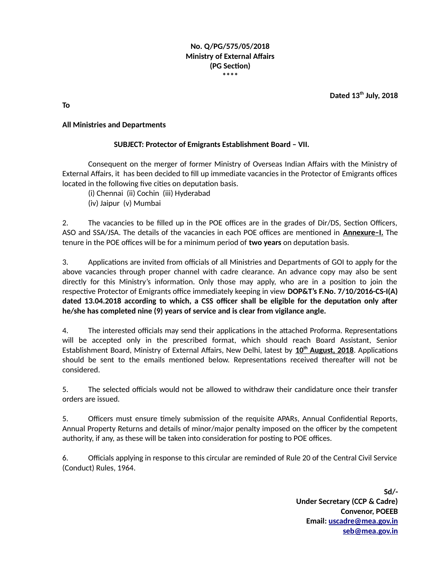#### **No. Q/PG/575/05/2018 Ministry of External Affairs (PG Section) \*\*\*\***

**Dated 13th July, 2018**

**To**

### **All Ministries and Departments**

#### **SUBJECT: Protector of Emigrants Establishment Board – VII.**

Consequent on the merger of former Ministry of Overseas Indian Affairs with the Ministry of External Affairs, it has been decided to fill up immediate vacancies in the Protector of Emigrants offices located in the following five cities on deputation basis.

(i) Chennai (ii) Cochin (iii) Hyderabad (iv) Jaipur (v) Mumbai

2. The vacancies to be filled up in the POE offices are in the grades of Dir/DS, Section Officers, ASO and SSA/JSA. The details of the vacancies in each POE offices are mentioned in **Annexure–I.** The tenure in the POE offices will be for a minimum period of **two years** on deputation basis.

3. Applications are invited from officials of all Ministries and Departments of GOI to apply for the above vacancies through proper channel with cadre clearance. An advance copy may also be sent directly for this Ministry's information. Only those may apply, who are in a position to join the respective Protector of Emigrants office immediately keeping in view **DOP&T's F.No. 7/10/2016-CS-I(A) dated 13.04.2018 according to which, a CSS officer shall be eligible for the deputation only after he/she has completed nine (9) years of service and is clear from vigilance angle.**

4. The interested officials may send their applications in the attached Proforma. Representations will be accepted only in the prescribed format, which should reach Board Assistant, Senior Establishment Board, Ministry of External Affairs, New Delhi, latest by **10th August, 2018**. Applications should be sent to the emails mentioned below. Representations received thereafter will not be considered.

5. The selected officials would not be allowed to withdraw their candidature once their transfer orders are issued.

5. Officers must ensure timely submission of the requisite APARs, Annual Confidential Reports, Annual Property Returns and details of minor/major penalty imposed on the officer by the competent authority, if any, as these will be taken into consideration for posting to POE offices.

6. Officials applying in response to this circular are reminded of Rule 20 of the Central Civil Service (Conduct) Rules, 1964.

> **Sd/- Under Secretary (CCP & Cadre) Convenor, POEEB Email: [uscadre@mea.gov.in](mailto:uscadre@mea.gov.in) [seb@mea.gov.in](mailto:seb@mea.gov.in)**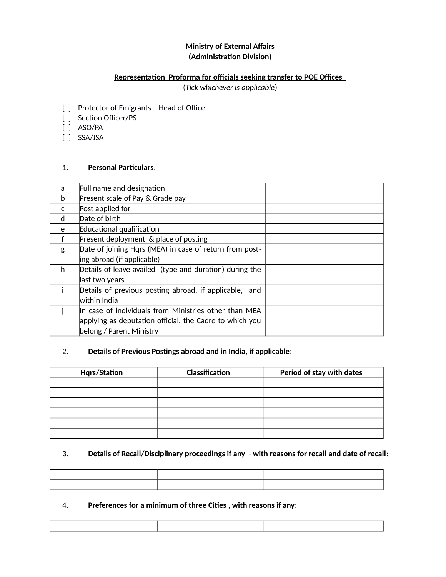# **Ministry of External Affairs (Administration Division)**

### **Representation Proforma for officials seeking transfer to POE Offices**

(*Tick whichever is applicable*)

- [ ] Protector of Emigrants Head of Office
- [ ] Section Officer/PS
- [ ] ASO/PA
- [ ] SSA/JSA

### 1. **Personal Particulars**:

| a  | Full name and designation                               |  |
|----|---------------------------------------------------------|--|
| b  | Present scale of Pay & Grade pay                        |  |
| C  | Post applied for                                        |  |
| d  | Date of birth                                           |  |
| e  | Educational qualification                               |  |
|    | Present deployment & place of posting                   |  |
| g  | Date of joining Hgrs (MEA) in case of return from post- |  |
|    | ing abroad (if applicable)                              |  |
| h. | Details of leave availed (type and duration) during the |  |
|    | last two years                                          |  |
|    | Details of previous posting abroad, if applicable, and  |  |
|    | within India                                            |  |
|    | In case of individuals from Ministries other than MEA   |  |
|    | applying as deputation official, the Cadre to which you |  |
|    | belong / Parent Ministry                                |  |

### 2. **Details of Previous Postings abroad and in India, if applicable**:

| <b>Hqrs/Station</b> | Classification | Period of stay with dates |  |  |
|---------------------|----------------|---------------------------|--|--|
|                     |                |                           |  |  |
|                     |                |                           |  |  |
|                     |                |                           |  |  |
|                     |                |                           |  |  |
|                     |                |                           |  |  |
|                     |                |                           |  |  |

## 3. **Details of Recall/Disciplinary proceedings if any - with reasons for recall and date of recall**:

| ,一个人都是一个人的事情,我们也不会不会不会。""我们,我们也不会不会不会不会不会不会不会不会。""我们,我们也不会不会不会不会不会不会不会不会。""我们,我们 |  |
|----------------------------------------------------------------------------------|--|
|                                                                                  |  |
|                                                                                  |  |
|                                                                                  |  |
|                                                                                  |  |

### 4. **Preferences for a minimum of three Cities , with reasons if any**: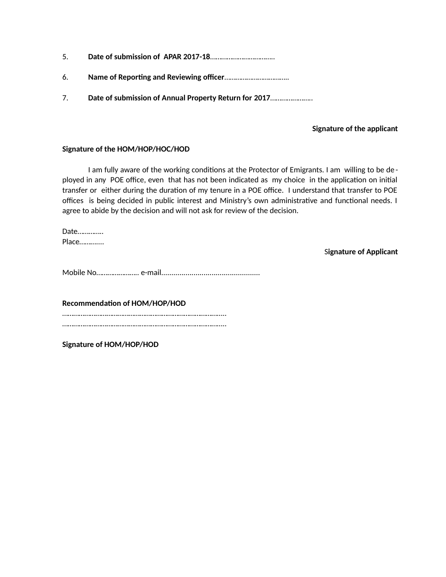- 5. **Date of submission of APAR 2017-18**……………………………..
- 6. **Name of Reporting and Reviewing officer**……………………………..
- 7. **Date of submission of Annual Property Return for 2017**…………………..

### **Signature of the applicant**

#### **Signature of the HOM/HOP/HOC/HOD**

I am fully aware of the working conditions at the Protector of Emigrants. I am willing to be de ployed in any POE office, even that has not been indicated as my choice in the application on initial transfer or either during the duration of my tenure in a POE office. I understand that transfer to POE offices is being decided in public interest and Ministry's own administrative and functional needs. I agree to abide by the decision and will not ask for review of the decision.

Date………….. Place………....

S**ignature of Applicant**

Mobile No………………….. e-mail.................................................

**Recommendation of HOM/HOP/HOD** …………………………………………………………………………….. ……………………………………………………………………………..

**Signature of HOM/HOP/HOD**